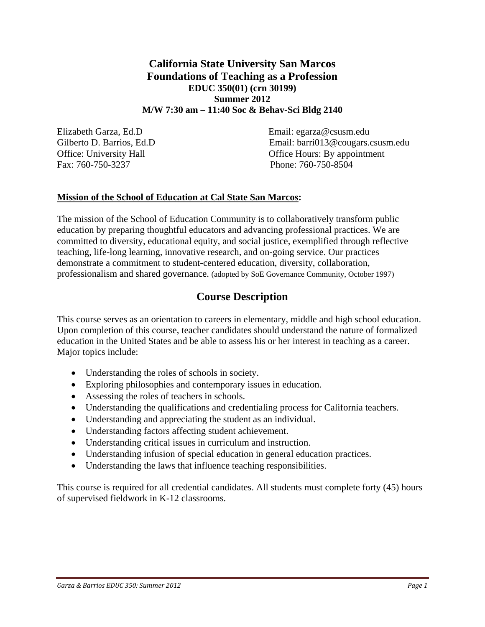# **California State University San Marcos Foundations of Teaching as a Profession EDUC 350(01) (crn 30199) Summer 2012 M/W 7:30 am – 11:40 Soc & Behav-Sci Bldg 2140**

Fax: 760-750-3237 Phone: 760-750-8504

Elizabeth Garza, Ed.D Email: egarza@csusm.edu Gilberto D. Barrios, Ed.D Email: barriof example and the Email: barriof and the Cougars.csusm.edu Office: University Hall **Office Hours: By appointment** 

## **Mission of the School of Education at Cal State San Marcos:**

The mission of the School of Education Community is to collaboratively transform public education by preparing thoughtful educators and advancing professional practices. We are committed to diversity, educational equity, and social justice, exemplified through reflective teaching, life-long learning, innovative research, and on-going service. Our practices demonstrate a commitment to student-centered education, diversity, collaboration, professionalism and shared governance. (adopted by SoE Governance Community, October 1997)

# **Course Description**

This course serves as an orientation to careers in elementary, middle and high school education. Upon completion of this course, teacher candidates should understand the nature of formalized education in the United States and be able to assess his or her interest in teaching as a career. Major topics include:

- Understanding the roles of schools in society.
- Exploring philosophies and contemporary issues in education.
- Assessing the roles of teachers in schools.
- Understanding the qualifications and credentialing process for California teachers.
- Understanding and appreciating the student as an individual.
- Understanding factors affecting student achievement.
- Understanding critical issues in curriculum and instruction.
- Understanding infusion of special education in general education practices.
- Understanding the laws that influence teaching responsibilities.

This course is required for all credential candidates. All students must complete forty (45) hours of supervised fieldwork in K-12 classrooms.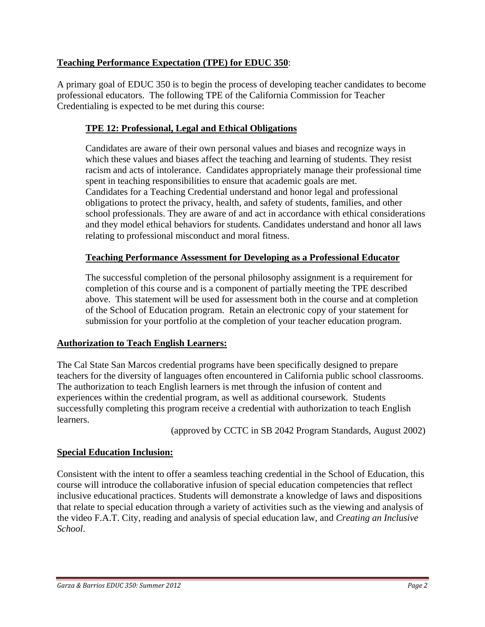# **Teaching Performance Expectation (TPE) for EDUC 350**:

A primary goal of EDUC 350 is to begin the process of developing teacher candidates to become professional educators. The following TPE of the California Commission for Teacher Credentialing is expected to be met during this course:

# **TPE 12: Professional, Legal and Ethical Obligations**

Candidates are aware of their own personal values and biases and recognize ways in which these values and biases affect the teaching and learning of students. They resist racism and acts of intolerance. Candidates appropriately manage their professional time spent in teaching responsibilities to ensure that academic goals are met. Candidates for a Teaching Credential understand and honor legal and professional obligations to protect the privacy, health, and safety of students, families, and other school professionals. They are aware of and act in accordance with ethical considerations and they model ethical behaviors for students. Candidates understand and honor all laws relating to professional misconduct and moral fitness.

## **Teaching Performance Assessment for Developing as a Professional Educator**

The successful completion of the personal philosophy assignment is a requirement for completion of this course and is a component of partially meeting the TPE described above. This statement will be used for assessment both in the course and at completion of the School of Education program. Retain an electronic copy of your statement for submission for your portfolio at the completion of your teacher education program.

## **Authorization to Teach English Learners:**

The Cal State San Marcos credential programs have been specifically designed to prepare teachers for the diversity of languages often encountered in California public school classrooms. The authorization to teach English learners is met through the infusion of content and experiences within the credential program, as well as additional coursework. Students successfully completing this program receive a credential with authorization to teach English learners.

(approved by CCTC in SB 2042 Program Standards, August 2002)

## **Special Education Inclusion:**

Consistent with the intent to offer a seamless teaching credential in the School of Education, this course will introduce the collaborative infusion of special education competencies that reflect inclusive educational practices. Students will demonstrate a knowledge of laws and dispositions that relate to special education through a variety of activities such as the viewing and analysis of the video F.A.T. City, reading and analysis of special education law, and *Creating an Inclusive School*.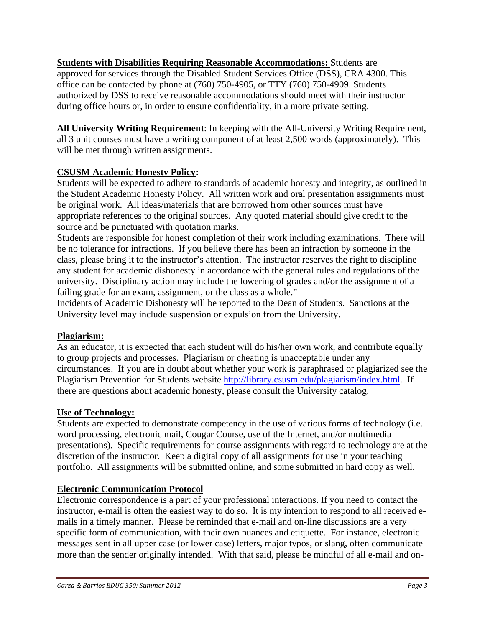**<u>Students with Disabilities Requiring Reasonable Accommodations: Students are</u>** approved for services through the Disabled Student Services Office (DSS), CRA 4300. This office can be contacted by phone at (760) 750-4905, or TTY (760) 750-4909. Students authorized by DSS to receive reasonable accommodations should meet with their instructor during office hours or, in order to ensure confidentiality, in a more private setting.

**All University Writing Requirement**: In keeping with the All-University Writing Requirement, all 3 unit courses must have a writing component of at least 2,500 words (approximately). This will be met through written assignments.

# **CSUSM Academic Honesty Policy:**

Students will be expected to adhere to standards of academic honesty and integrity, as outlined in the Student Academic Honesty Policy. All written work and oral presentation assignments must be original work. All ideas/materials that are borrowed from other sources must have appropriate references to the original sources. Any quoted material should give credit to the source and be punctuated with quotation marks.

Students are responsible for honest completion of their work including examinations. There will be no tolerance for infractions. If you believe there has been an infraction by someone in the class, please bring it to the instructor's attention. The instructor reserves the right to discipline any student for academic dishonesty in accordance with the general rules and regulations of the university. Disciplinary action may include the lowering of grades and/or the assignment of a failing grade for an exam, assignment, or the class as a whole."

Incidents of Academic Dishonesty will be reported to the Dean of Students. Sanctions at the University level may include suspension or expulsion from the University.

# **Plagiarism:**

As an educator, it is expected that each student will do his/her own work, and contribute equally to group projects and processes. Plagiarism or cheating is unacceptable under any circumstances. If you are in doubt about whether your work is paraphrased or plagiarized see the Plagiarism Prevention for Students website http://library.csusm.edu/plagiarism/index.html. If there are questions about academic honesty, please consult the University catalog.

## **Use of Technology:**

Students are expected to demonstrate competency in the use of various forms of technology (i.e. word processing, electronic mail, Cougar Course, use of the Internet, and/or multimedia presentations). Specific requirements for course assignments with regard to technology are at the discretion of the instructor. Keep a digital copy of all assignments for use in your teaching portfolio. All assignments will be submitted online, and some submitted in hard copy as well.

# **Electronic Communication Protocol**

Electronic correspondence is a part of your professional interactions. If you need to contact the instructor, e-mail is often the easiest way to do so. It is my intention to respond to all received emails in a timely manner. Please be reminded that e-mail and on-line discussions are a very specific form of communication, with their own nuances and etiquette. For instance, electronic messages sent in all upper case (or lower case) letters, major typos, or slang, often communicate more than the sender originally intended. With that said, please be mindful of all e-mail and on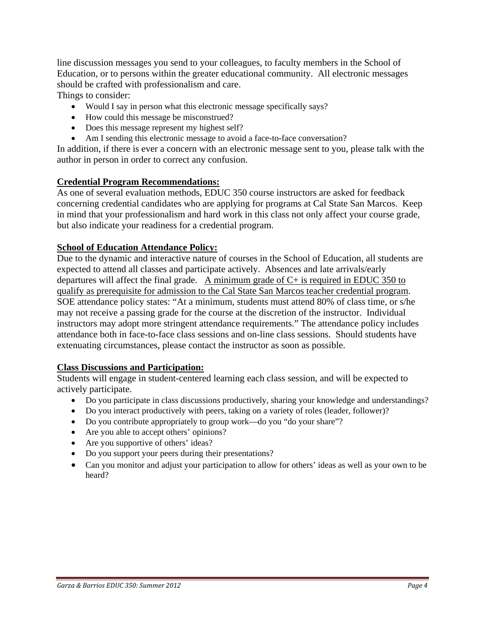line discussion messages you send to your colleagues, to faculty members in the School of Education, or to persons within the greater educational community. All electronic messages should be crafted with professionalism and care.

Things to consider:

- Would I say in person what this electronic message specifically says?
- How could this message be misconstrued?
- Does this message represent my highest self?
- Am I sending this electronic message to avoid a face-to-face conversation?

In addition, if there is ever a concern with an electronic message sent to you, please talk with the author in person in order to correct any confusion.

### **Credential Program Recommendations:**

As one of several evaluation methods, EDUC 350 course instructors are asked for feedback concerning credential candidates who are applying for programs at Cal State San Marcos. Keep in mind that your professionalism and hard work in this class not only affect your course grade, but also indicate your readiness for a credential program.

### **School of Education Attendance Policy:**

Due to the dynamic and interactive nature of courses in the School of Education, all students are expected to attend all classes and participate actively. Absences and late arrivals/early departures will affect the final grade. A minimum grade of  $C<sub>+</sub>$  is required in EDUC 350 to qualify as prerequisite for admission to the Cal State San Marcos teacher credential program. SOE attendance policy states: "At a minimum, students must attend 80% of class time, or s/he may not receive a passing grade for the course at the discretion of the instructor. Individual instructors may adopt more stringent attendance requirements." The attendance policy includes attendance both in face-to-face class sessions and on-line class sessions. Should students have extenuating circumstances, please contact the instructor as soon as possible.

### **Class Discussions and Participation:**

Students will engage in student-centered learning each class session, and will be expected to actively participate.

- Do you participate in class discussions productively, sharing your knowledge and understandings?
- Do you interact productively with peers, taking on a variety of roles (leader, follower)?
- Do you contribute appropriately to group work—do you "do your share"?
- Are you able to accept others' opinions?
- Are you supportive of others' ideas?
- Do you support your peers during their presentations?
- Can you monitor and adjust your participation to allow for others' ideas as well as your own to be heard?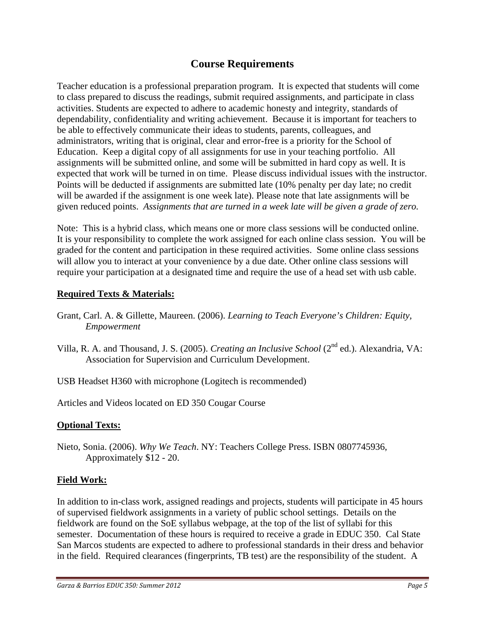# **Course Requirements**

Teacher education is a professional preparation program. It is expected that students will come to class prepared to discuss the readings, submit required assignments, and participate in class activities. Students are expected to adhere to academic honesty and integrity, standards of dependability, confidentiality and writing achievement. Because it is important for teachers to be able to effectively communicate their ideas to students, parents, colleagues, and administrators, writing that is original, clear and error-free is a priority for the School of Education. Keep a digital copy of all assignments for use in your teaching portfolio. All assignments will be submitted online, and some will be submitted in hard copy as well. It is expected that work will be turned in on time. Please discuss individual issues with the instructor. Points will be deducted if assignments are submitted late (10% penalty per day late; no credit will be awarded if the assignment is one week late). Please note that late assignments will be given reduced points. *Assignments that are turned in a week late will be given a grade of zero.* 

Note: This is a hybrid class, which means one or more class sessions will be conducted online. It is your responsibility to complete the work assigned for each online class session. You will be graded for the content and participation in these required activities. Some online class sessions will allow you to interact at your convenience by a due date. Other online class sessions will require your participation at a designated time and require the use of a head set with usb cable.

## **Required Texts & Materials:**

- Grant, Carl. A. & Gillette, Maureen. (2006). *Learning to Teach Everyone's Children: Equity, Empowerment*
- Villa, R. A. and Thousand, J. S. (2005). *Creating an Inclusive School* (2nd ed.). Alexandria, VA: Association for Supervision and Curriculum Development.
- USB Headset H360 with microphone (Logitech is recommended)

Articles and Videos located on ED 350 Cougar Course

# **Optional Texts:**

Nieto, Sonia. (2006). *Why We Teach*. NY: Teachers College Press. ISBN 0807745936, Approximately \$12 - 20.

# **Field Work:**

In addition to in-class work, assigned readings and projects, students will participate in 45 hours of supervised fieldwork assignments in a variety of public school settings. Details on the fieldwork are found on the SoE syllabus webpage, at the top of the list of syllabi for this semester. Documentation of these hours is required to receive a grade in EDUC 350. Cal State San Marcos students are expected to adhere to professional standards in their dress and behavior in the field. Required clearances (fingerprints, TB test) are the responsibility of the student. A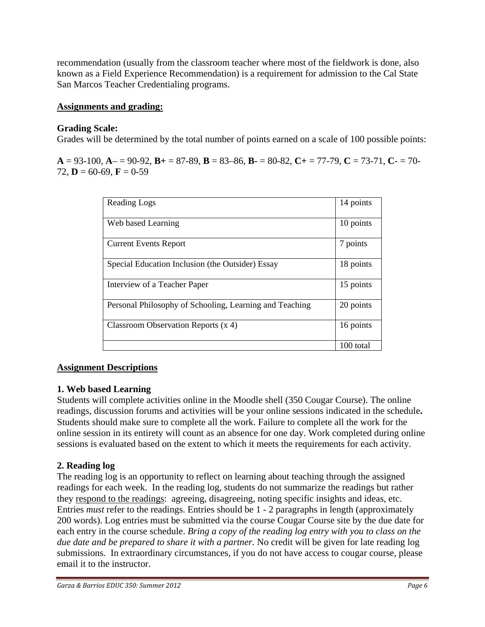recommendation (usually from the classroom teacher where most of the fieldwork is done, also known as a Field Experience Recommendation) is a requirement for admission to the Cal State San Marcos Teacher Credentialing programs.

## **Assignments and grading:**

## **Grading Scale:**

Grades will be determined by the total number of points earned on a scale of 100 possible points:

 $A = 93-100$ ,  $A = 90-92$ ,  $B = 87-89$ ,  $B = 83-86$ ,  $B = 80-82$ ,  $C = 77-79$ ,  $C = 73-71$ ,  $C = 70-79$ 72, **D** = 60-69, **F** = 0-59

| Reading Logs                                            | 14 points |
|---------------------------------------------------------|-----------|
| Web based Learning                                      | 10 points |
| <b>Current Events Report</b>                            | 7 points  |
| Special Education Inclusion (the Outsider) Essay        | 18 points |
| Interview of a Teacher Paper                            | 15 points |
| Personal Philosophy of Schooling, Learning and Teaching | 20 points |
| Classroom Observation Reports $(x 4)$                   | 16 points |
|                                                         | 100 total |

# **Assignment Descriptions**

## **1. Web based Learning**

Students will complete activities online in the Moodle shell (350 Cougar Course). The online readings, discussion forums and activities will be your online sessions indicated in the schedule**.**  Students should make sure to complete all the work. Failure to complete all the work for the online session in its entirety will count as an absence for one day. Work completed during online sessions is evaluated based on the extent to which it meets the requirements for each activity.

# **2. Reading log**

The reading log is an opportunity to reflect on learning about teaching through the assigned readings for each week. In the reading log, students do not summarize the readings but rather they respond to the readings: agreeing, disagreeing, noting specific insights and ideas, etc. Entries *must* refer to the readings. Entries should be 1 - 2 paragraphs in length (approximately 200 words). Log entries must be submitted via the course Cougar Course site by the due date for each entry in the course schedule. *Bring a copy of the reading log entry with you to class on the due date and be prepared to share it with a partner.* No credit will be given for late reading log submissions. In extraordinary circumstances, if you do not have access to cougar course, please email it to the instructor.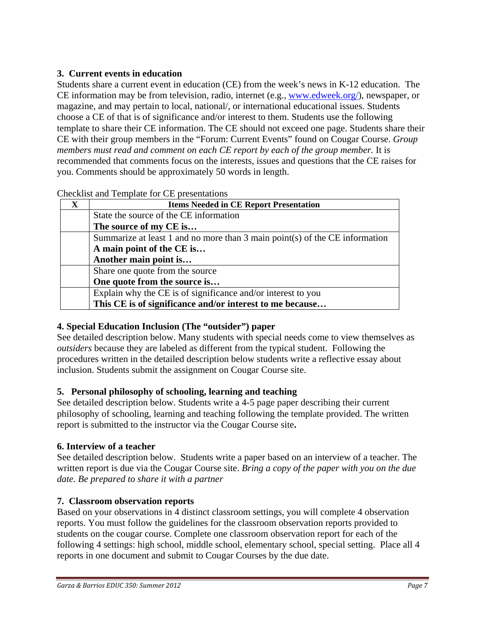# **3. Current events in education**

Students share a current event in education (CE) from the week's news in K-12 education. The CE information may be from television, radio, internet (e.g., www.edweek.org/), newspaper, or magazine, and may pertain to local, national/, or international educational issues. Students choose a CE of that is of significance and/or interest to them. Students use the following template to share their CE information. The CE should not exceed one page. Students share their CE with their group members in the "Forum: Current Events" found on Cougar Course. *Group members must read and comment on each CE report by each of the group member.* It is recommended that comments focus on the interests, issues and questions that the CE raises for you. Comments should be approximately 50 words in length.

| $\mathbf{X}$ | <b>Items Needed in CE Report Presentation</b>                                 |  |
|--------------|-------------------------------------------------------------------------------|--|
|              | State the source of the CE information                                        |  |
|              | The source of my CE is                                                        |  |
|              | Summarize at least 1 and no more than 3 main point(s) of the $CE$ information |  |
|              | A main point of the CE is                                                     |  |
|              | Another main point is                                                         |  |
|              | Share one quote from the source                                               |  |
|              | One quote from the source is                                                  |  |
|              | Explain why the CE is of significance and/or interest to you                  |  |
|              | This CE is of significance and/or interest to me because                      |  |

Checklist and Template for CE presentations

# **4. Special Education Inclusion (The "outsider") paper**

See detailed description below. Many students with special needs come to view themselves as *outsiders* because they are labeled as different from the typical student. Following the procedures written in the detailed description below students write a reflective essay about inclusion. Students submit the assignment on Cougar Course site.

# **5. Personal philosophy of schooling, learning and teaching**

See detailed description below. Students write a 4-5 page paper describing their current philosophy of schooling, learning and teaching following the template provided. The written report is submitted to the instructor via the Cougar Course site**.** 

# **6. Interview of a teacher**

See detailed description below. Students write a paper based on an interview of a teacher. The written report is due via the Cougar Course site. *Bring a copy of the paper with you on the due date. Be prepared to share it with a partner* 

# **7. Classroom observation reports**

Based on your observations in 4 distinct classroom settings, you will complete 4 observation reports. You must follow the guidelines for the classroom observation reports provided to students on the cougar course. Complete one classroom observation report for each of the following 4 settings: high school, middle school, elementary school, special setting. Place all 4 reports in one document and submit to Cougar Courses by the due date.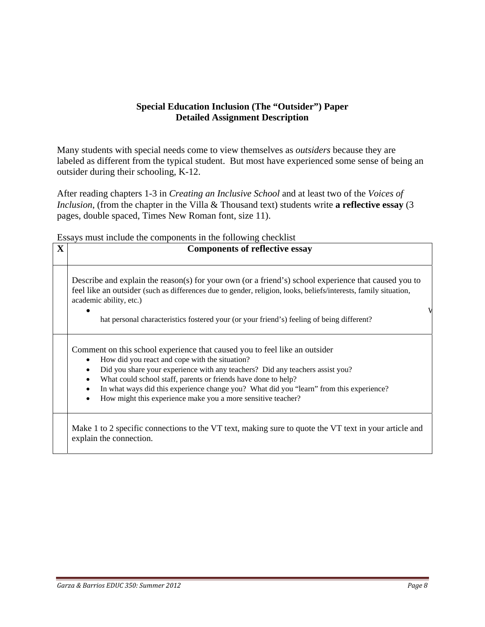## **Special Education Inclusion (The "Outsider") Paper Detailed Assignment Description**

Many students with special needs come to view themselves as *outsiders* because they are labeled as different from the typical student. But most have experienced some sense of being an outsider during their schooling, K-12.

After reading chapters 1-3 in *Creating an Inclusive School* and at least two of the *Voices of Inclusion*, (from the chapter in the Villa & Thousand text) students write **a reflective essay** (3 pages, double spaced, Times New Roman font, size 11).

Essays must include the components in the following checklist

| X | <b>Components of reflective essay</b>                                                                                                                                                                                                                                                                                                                                                                                                      |
|---|--------------------------------------------------------------------------------------------------------------------------------------------------------------------------------------------------------------------------------------------------------------------------------------------------------------------------------------------------------------------------------------------------------------------------------------------|
|   | Describe and explain the reason(s) for your own (or a friend's) school experience that caused you to<br>feel like an outsider (such as differences due to gender, religion, looks, beliefs/interests, family situation,<br>academic ability, etc.)                                                                                                                                                                                         |
|   | hat personal characteristics fostered your (or your friend's) feeling of being different?                                                                                                                                                                                                                                                                                                                                                  |
|   | Comment on this school experience that caused you to feel like an outsider<br>How did you react and cope with the situation?<br>Did you share your experience with any teachers? Did any teachers assist you?<br>What could school staff, parents or friends have done to help?<br>In what ways did this experience change you? What did you "learn" from this experience?<br>How might this experience make you a more sensitive teacher? |
|   | Make 1 to 2 specific connections to the VT text, making sure to quote the VT text in your article and<br>explain the connection.                                                                                                                                                                                                                                                                                                           |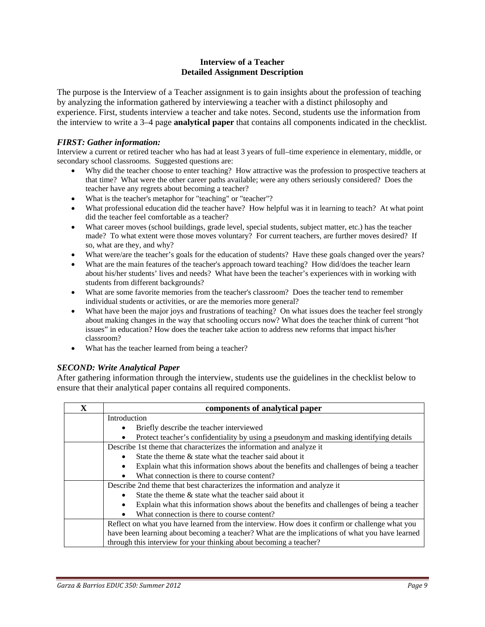#### **Interview of a Teacher Detailed Assignment Description**

The purpose is the Interview of a Teacher assignment is to gain insights about the profession of teaching by analyzing the information gathered by interviewing a teacher with a distinct philosophy and experience. First, students interview a teacher and take notes. Second, students use the information from the interview to write a 3–4 page **analytical paper** that contains all components indicated in the checklist.

#### *FIRST: Gather information:*

 secondary school classrooms. Suggested questions are: Interview a current or retired teacher who has had at least 3 years of full–time experience in elementary, middle, or

- Why did the teacher choose to enter teaching? How attractive was the profession to prospective teachers at that time? What were the other career paths available; were any others seriously considered? Does the teacher have any regrets about becoming a teacher?
- What is the teacher's metaphor for "teaching" or "teacher"?
- What professional education did the teacher have? How helpful was it in learning to teach? At what point did the teacher feel comfortable as a teacher?
- made? To what extent were those moves voluntary? For current teachers, are further moves desired? If What career moves (school buildings, grade level, special students, subject matter, etc.) has the teacher so, what are they, and why?
- What were/are the teacher's goals for the education of students? Have these goals changed over the years?
- about his/her students' lives and needs? What have been the teacher's experiences with in working with students from different backgrounds? What are the main features of the teacher's approach toward teaching? How did/does the teacher learn
- individual students or activities, or are the memories more general? What are some favorite memories from the teacher's classroom? Does the teacher tend to remember
- What have been the major joys and frustrations of teaching? On what issues does the teacher feel strongly about making changes in the way that schooling occurs now? What does the teacher think of current "hot issues" in education? How does the teacher take action to address new reforms that impact his/her classroom?
- What has the teacher learned from being a teacher?

### *SECOND: Write Analytical Paper*

After gathering information through the interview, students use the guidelines in the checklist below to ensure that their analytical paper contains all required components.

| $\mathbf{X}$ | components of analytical paper                                                                        |  |  |
|--------------|-------------------------------------------------------------------------------------------------------|--|--|
|              | Introduction                                                                                          |  |  |
|              | Briefly describe the teacher interviewed<br>٠                                                         |  |  |
|              | Protect teacher's confidentiality by using a pseudonym and masking identifying details<br>٠           |  |  |
|              | Describe 1st theme that characterizes the information and analyze it                                  |  |  |
|              | State the theme & state what the teacher said about it                                                |  |  |
|              | Explain what this information shows about the benefits and challenges of being a teacher<br>$\bullet$ |  |  |
|              | What connection is there to course content?<br>$\bullet$                                              |  |  |
|              | Describe 2nd theme that best characterizes the information and analyze it                             |  |  |
|              | State the theme $\&$ state what the teacher said about it<br>$\bullet$                                |  |  |
|              | Explain what this information shows about the benefits and challenges of being a teacher<br>$\bullet$ |  |  |
|              | What connection is there to course content?<br>$\bullet$                                              |  |  |
|              | Reflect on what you have learned from the interview. How does it confirm or challenge what you        |  |  |
|              | have been learning about becoming a teacher? What are the implications of what you have learned       |  |  |
|              | through this interview for your thinking about becoming a teacher?                                    |  |  |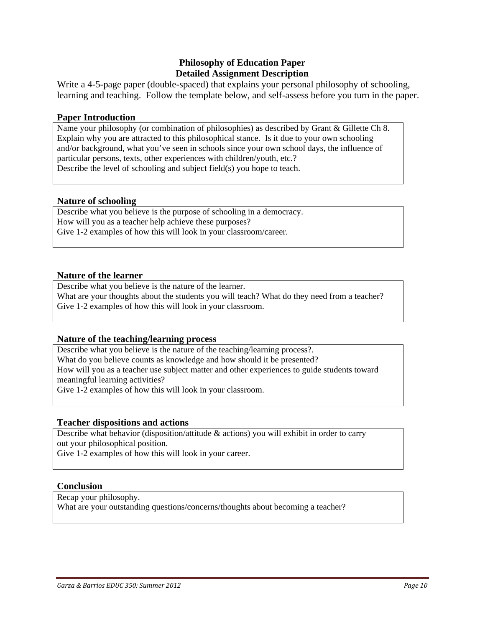### **Philosophy of Education Paper Detailed Assignment Description**

Write a 4-5-page paper (double-spaced) that explains your personal philosophy of schooling, learning and teaching. Follow the template below, and self-assess before you turn in the paper.

#### **Paper Introduction**

Name your philosophy (or combination of philosophies) as described by Grant & Gillette Ch 8. Explain why you are attracted to this philosophical stance. Is it due to your own schooling and/or background, what you've seen in schools since your own school days, the influence of particular persons, texts, other experiences with children/youth, etc.? Describe the level of schooling and subject field(s) you hope to teach.

#### **Nature of schooling**

Describe what you believe is the purpose of schooling in a democracy. How will you as a teacher help achieve these purposes? Give 1-2 examples of how this will look in your classroom/career.

#### **Nature of the learner**

Describe what you believe is the nature of the learner. What are your thoughts about the students you will teach? What do they need from a teacher? Give 1-2 examples of how this will look in your classroom.

### **Nature of the teaching/learning process**

 meaningful learning activities? Describe what you believe is the nature of the teaching/learning process?. What do you believe counts as knowledge and how should it be presented? How will you as a teacher use subject matter and other experiences to guide students toward Give 1-2 examples of how this will look in your classroom.

### **Teacher dispositions and actions**

 Describe what behavior (disposition/attitude & actions) you will exhibit in order to carry out your philosophical position.

Give 1-2 examples of how this will look in your career.

#### **Conclusion**

Recap your philosophy.

What are your outstanding questions/concerns/thoughts about becoming a teacher?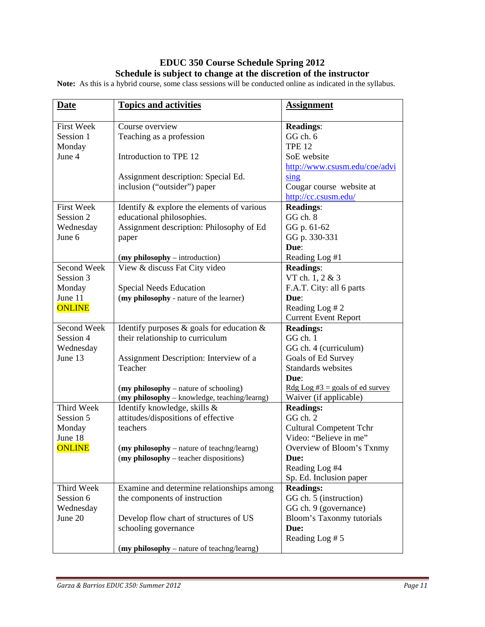# **EDUC 350 Course Schedule Spring 2012 Schedule is subject to change at the discretion of the instructor**

**Note:** As this is a hybrid course, some class sessions will be conducted online as indicated in the syllabus.

| <b>Date</b>       | <b>Topics and activities</b>                    | <b>Assignment</b>                 |
|-------------------|-------------------------------------------------|-----------------------------------|
| <b>First Week</b> | Course overview                                 | <b>Readings:</b>                  |
| Session 1         | Teaching as a profession                        | GG ch. 6                          |
| Monday            |                                                 | <b>TPE 12</b>                     |
| June 4            | Introduction to TPE 12                          | SoE website                       |
|                   |                                                 | http://www.csusm.edu/coe/advi     |
|                   | Assignment description: Special Ed.             | $\sin g$                          |
|                   | inclusion ("outsider") paper                    | Cougar course website at          |
|                   |                                                 | http://cc.csusm.edu/              |
| <b>First Week</b> | Identify & explore the elements of various      | <b>Readings:</b>                  |
| Session 2         | educational philosophies.                       | GG ch. 8                          |
| Wednesday         | Assignment description: Philosophy of Ed        | GG p. 61-62                       |
| June 6            | paper                                           | GG p. 330-331                     |
|                   |                                                 | Due:                              |
|                   | $(my \text{ philosophy} - introduction)$        | Reading Log #1                    |
| Second Week       | View & discuss Fat City video                   | <b>Readings:</b>                  |
| Session 3         |                                                 | VT ch. 1, 2 & 3                   |
| Monday            | <b>Special Needs Education</b>                  | F.A.T. City: all 6 parts          |
| June 11           | (my philosophy - nature of the learner)         | Due:                              |
| <b>ONLINE</b>     |                                                 | Reading Log # 2                   |
|                   |                                                 | <b>Current Event Report</b>       |
| Second Week       | Identify purposes $\&$ goals for education $\&$ | <b>Readings:</b>                  |
| Session 4         | their relationship to curriculum                | GG ch. 1                          |
| Wednesday         |                                                 | GG ch. 4 (curriculum)             |
| June 13           | Assignment Description: Interview of a          | Goals of Ed Survey                |
|                   | Teacher                                         | Standards websites                |
|                   |                                                 | Due:                              |
|                   | (my philosophy – nature of schooling)           | $Rdg Log #3 = goals of ed survey$ |
|                   | (my philosophy - knowledge, teaching/learng)    | Waiver (if applicable)            |
| Third Week        | Identify knowledge, skills &                    | <b>Readings:</b>                  |
| Session 5         | attitudes/dispositions of effective             | GG ch. 2                          |
| Monday            | teachers                                        | <b>Cultural Competent Tchr</b>    |
| June 18           |                                                 | Video: "Believe in me"            |
| <b>ONLINE</b>     | (my philosophy – nature of teachng/learng)      | Overview of Bloom's Txnmy         |
|                   | (my philosophy – teacher dispositions)          | Due:                              |
|                   |                                                 | Reading Log #4                    |
|                   |                                                 | Sp. Ed. Inclusion paper           |
| Third Week        | Examine and determine relationships among       | <b>Readings:</b>                  |
| Session 6         |                                                 |                                   |
|                   | the components of instruction                   | GG ch. 5 (instruction)            |
| Wednesday         |                                                 | GG ch. 9 (governance)             |
| June 20           | Develop flow chart of structures of US          | Bloom's Taxonmy tutorials         |
|                   | schooling governance                            | Due:                              |
|                   |                                                 | Reading Log #5                    |
|                   | (my philosophy – nature of teachng/learng)      |                                   |